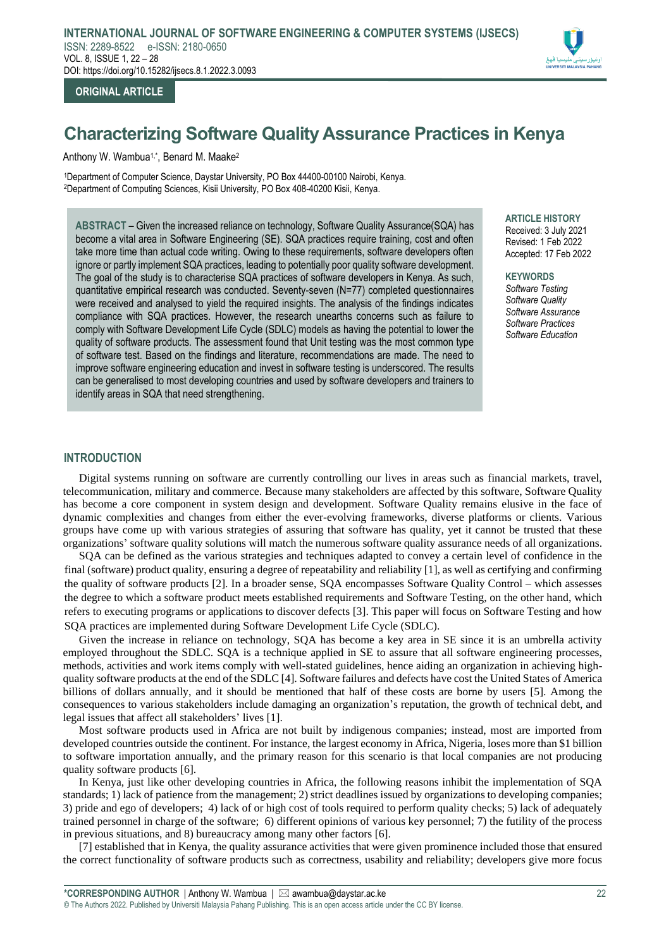

## **ORIGINAL ARTICLE**

# **Characterizing Software Quality Assurance Practices in Kenya**

Anthony W. Wambua<sup>1,\*</sup>, Benard M. Maake<sup>2</sup>

<sup>1</sup>Department of Computer Science, Daystar University, PO Box 44400-00100 Nairobi, Kenya. <sup>2</sup>Department of Computing Sciences, Kisii University, PO Box 408-40200 Kisii, Kenya.

**ABSTRACT** – Given the increased reliance on technology, Software Quality Assurance(SQA) has become a vital area in Software Engineering (SE). SQA practices require training, cost and often take more time than actual code writing. Owing to these requirements, software developers often ignore or partly implement SQA practices, leading to potentially poor quality software development. The goal of the study is to characterise SQA practices of software developers in Kenya. As such, quantitative empirical research was conducted. Seventy-seven (N=77) completed questionnaires were received and analysed to yield the required insights. The analysis of the findings indicates compliance with SQA practices. However, the research unearths concerns such as failure to comply with Software Development Life Cycle (SDLC) models as having the potential to lower the quality of software products. The assessment found that Unit testing was the most common type of software test. Based on the findings and literature, recommendations are made. The need to improve software engineering education and invest in software testing is underscored. The results can be generalised to most developing countries and used by software developers and trainers to identify areas in SQA that need strengthening.

**ARTICLE HISTORY** Received: 3 July 2021 Revised: 1 Feb 2022 Accepted: 17 Feb 2022

**KEYWORDS** *Software Testing Software Quality Software Assurance Software Practices Software Education*

## **INTRODUCTION**

Digital systems running on software are currently controlling our lives in areas such as financial markets, travel, telecommunication, military and commerce. Because many stakeholders are affected by this software, Software Quality has become a core component in system design and development. Software Quality remains elusive in the face of dynamic complexities and changes from either the ever-evolving frameworks, diverse platforms or clients. Various groups have come up with various strategies of assuring that software has quality, yet it cannot be trusted that these organizations' software quality solutions will match the numerous software quality assurance needs of all organizations.

SQA can be defined as the various strategies and techniques adapted to convey a certain level of confidence in the final (software) product quality, ensuring a degree of repeatability and reliability [1], as well as certifying and confirming the quality of software products [2]. In a broader sense, SQA encompasses Software Quality Control – which assesses the degree to which a software product meets established requirements and Software Testing, on the other hand, which refers to executing programs or applications to discover defects [3]. This paper will focus on Software Testing and how SQA practices are implemented during Software Development Life Cycle (SDLC).

Given the increase in reliance on technology, SQA has become a key area in SE since it is an umbrella activity employed throughout the SDLC. SQA is a technique applied in SE to assure that all software engineering processes, methods, activities and work items comply with well-stated guidelines, hence aiding an organization in achieving highquality software products at the end of the SDLC [4]. Software failures and defects have cost the United States of America billions of dollars annually, and it should be mentioned that half of these costs are borne by users [5]. Among the consequences to various stakeholders include damaging an organization's reputation, the growth of technical debt, and legal issues that affect all stakeholders' lives [1].

Most software products used in Africa are not built by indigenous companies; instead, most are imported from developed countries outside the continent. For instance, the largest economy in Africa, Nigeria, loses more than \$1 billion to software importation annually, and the primary reason for this scenario is that local companies are not producing quality software products [6].

In Kenya, just like other developing countries in Africa, the following reasons inhibit the implementation of SQA standards; 1) lack of patience from the management; 2) strict deadlines issued by organizations to developing companies; 3) pride and ego of developers; 4) lack of or high cost of tools required to perform quality checks; 5) lack of adequately trained personnel in charge of the software; 6) different opinions of various key personnel; 7) the futility of the process in previous situations, and 8) bureaucracy among many other factors [6].

[7] established that in Kenya, the quality assurance activities that were given prominence included those that ensured the correct functionality of software products such as correctness, usability and reliability; developers give more focus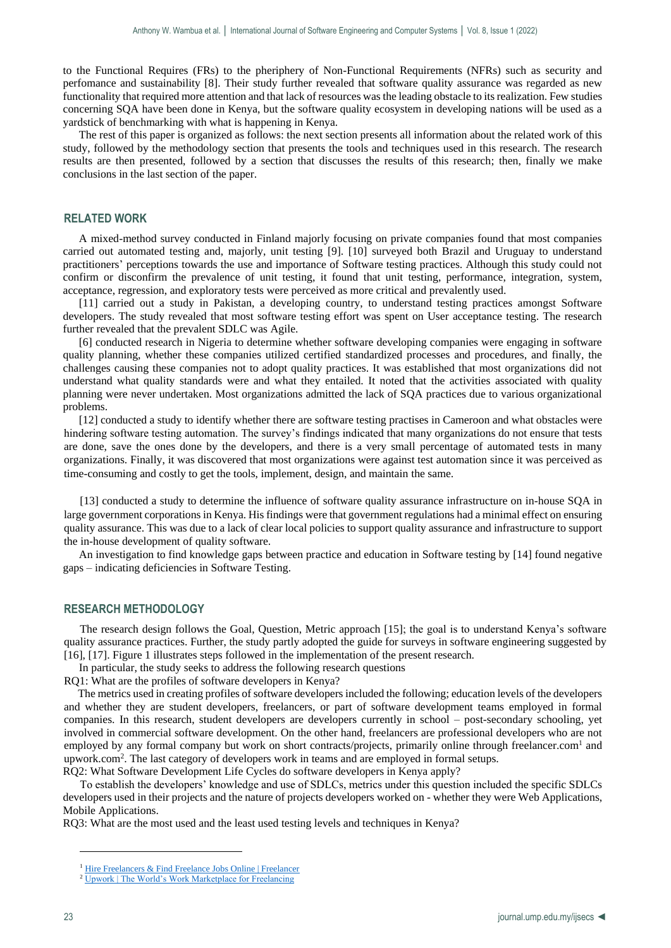to the Functional Requires (FRs) to the pheriphery of Non-Functional Requirements (NFRs) such as security and perfomance and sustainability [8]. Their study further revealed that software quality assurance was regarded as new functionality that required more attention and that lack of resources was the leading obstacle to its realization. Few studies concerning SQA have been done in Kenya, but the software quality ecosystem in developing nations will be used as a yardstick of benchmarking with what is happening in Kenya.

The rest of this paper is organized as follows: the next section presents all information about the related work of this study, followed by the methodology section that presents the tools and techniques used in this research. The research results are then presented, followed by a section that discusses the results of this research; then, finally we make conclusions in the last section of the paper.

#### **RELATED WORK**

A mixed-method survey conducted in Finland majorly focusing on private companies found that most companies carried out automated testing and, majorly, unit testing [9]. [10] surveyed both Brazil and Uruguay to understand practitioners' perceptions towards the use and importance of Software testing practices. Although this study could not confirm or disconfirm the prevalence of unit testing, it found that unit testing, performance, integration, system, acceptance, regression, and exploratory tests were perceived as more critical and prevalently used.

[11] carried out a study in Pakistan, a developing country, to understand testing practices amongst Software developers. The study revealed that most software testing effort was spent on User acceptance testing. The research further revealed that the prevalent SDLC was Agile.

[6] conducted research in Nigeria to determine whether software developing companies were engaging in software quality planning, whether these companies utilized certified standardized processes and procedures, and finally, the challenges causing these companies not to adopt quality practices. It was established that most organizations did not understand what quality standards were and what they entailed. It noted that the activities associated with quality planning were never undertaken. Most organizations admitted the lack of SQA practices due to various organizational problems.

[12] conducted a study to identify whether there are software testing practises in Cameroon and what obstacles were hindering software testing automation. The survey's findings indicated that many organizations do not ensure that tests are done, save the ones done by the developers, and there is a very small percentage of automated tests in many organizations. Finally, it was discovered that most organizations were against test automation since it was perceived as time-consuming and costly to get the tools, implement, design, and maintain the same.

[13] conducted a study to determine the influence of software quality assurance infrastructure on in-house SQA in large government corporations in Kenya. His findings were that government regulations had a minimal effect on ensuring quality assurance. This was due to a lack of clear local policies to support quality assurance and infrastructure to support the in-house development of quality software.

An investigation to find knowledge gaps between practice and education in Software testing by [14] found negative gaps – indicating deficiencies in Software Testing.

## **RESEARCH METHODOLOGY**

The research design follows the Goal, Question, Metric approach [15]; the goal is to understand Kenya's software quality assurance practices. Further, the study partly adopted the guide for surveys in software engineering suggested by [16], [17]. Figure 1 illustrates steps followed in the implementation of the present research.

In particular, the study seeks to address the following research questions

RQ1: What are the profiles of software developers in Kenya?

 The metrics used in creating profiles of software developers included the following; education levels of the developers and whether they are student developers, freelancers, or part of software development teams employed in formal companies. In this research, student developers are developers currently in school – post-secondary schooling, yet involved in commercial software development. On the other hand, freelancers are professional developers who are not employed by any formal company but work on short contracts/projects, primarily online through freelancer.com<sup>1</sup> and upwork.com<sup>2</sup> . The last category of developers work in teams and are employed in formal setups.

RQ2: What Software Development Life Cycles do software developers in Kenya apply?

 To establish the developers' knowledge and use of SDLCs, metrics under this question included the specific SDLCs developers used in their projects and the nature of projects developers worked on - whether they were Web Applications, Mobile Applications.

RQ3: What are the most used and the least used testing levels and techniques in Kenya?

1

<sup>&</sup>lt;sup>1</sup> [Hire Freelancers & Find Freelance Jobs Online | Freelancer](https://www.freelancer.com/)

<sup>&</sup>lt;sup>2</sup> [Upwork | The World's Work Marketplace for Freelancing](https://www.upwork.com/)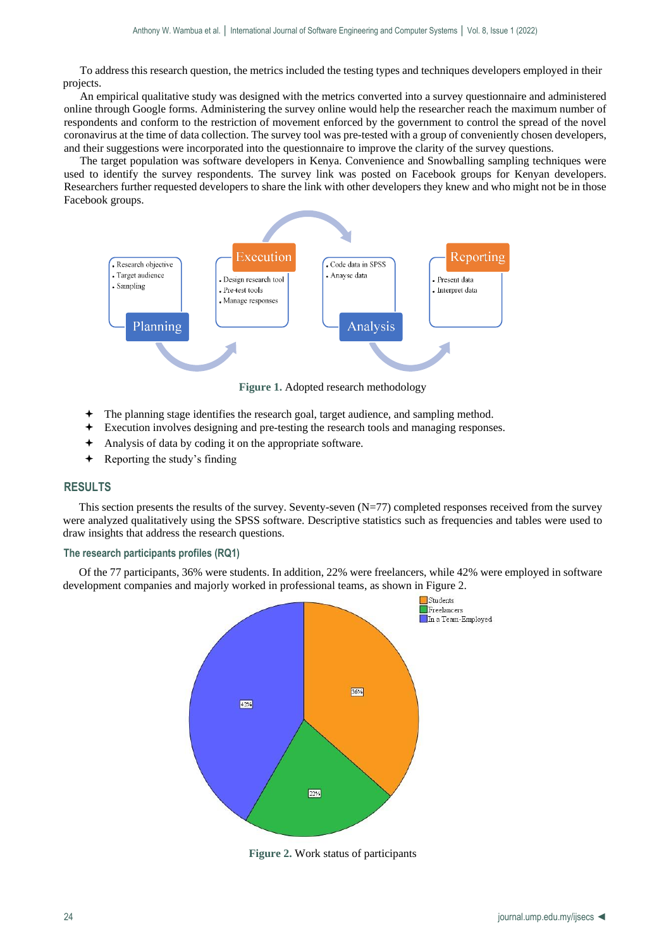To address this research question, the metrics included the testing types and techniques developers employed in their projects.

An empirical qualitative study was designed with the metrics converted into a survey questionnaire and administered online through Google forms. Administering the survey online would help the researcher reach the maximum number of respondents and conform to the restriction of movement enforced by the government to control the spread of the novel coronavirus at the time of data collection. The survey tool was pre-tested with a group of conveniently chosen developers, and their suggestions were incorporated into the questionnaire to improve the clarity of the survey questions.

The target population was software developers in Kenya. Convenience and Snowballing sampling techniques were used to identify the survey respondents. The survey link was posted on Facebook groups for Kenyan developers. Researchers further requested developers to share the link with other developers they knew and who might not be in those Facebook groups.



**Figure 1.** Adopted research methodology

- The planning stage identifies the research goal, target audience, and sampling method.
- Execution involves designing and pre-testing the research tools and managing responses.
- Analysis of data by coding it on the appropriate software.
- Reporting the study's finding

# **RESULTS**

This section presents the results of the survey. Seventy-seven (N=77) completed responses received from the survey were analyzed qualitatively using the SPSS software. Descriptive statistics such as frequencies and tables were used to draw insights that address the research questions.

#### **The research participants profiles (RQ1)**

Of the 77 participants, 36% were students. In addition, 22% were freelancers, while 42% were employed in software development companies and majorly worked in professional teams, as shown in Figure 2.



**Figure 2.** Work status of participants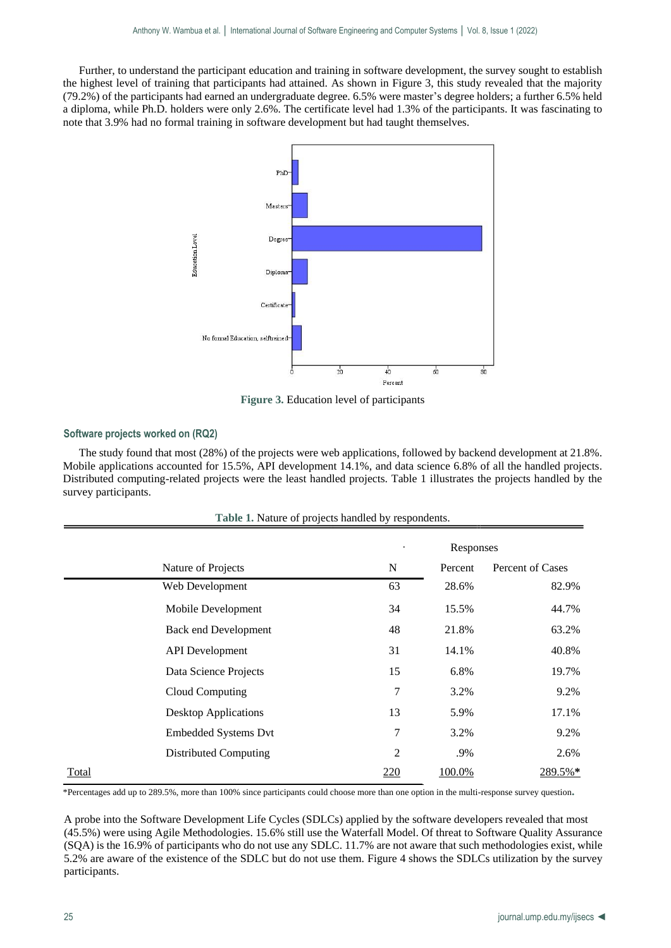Further, to understand the participant education and training in software development, the survey sought to establish the highest level of training that participants had attained. As shown in Figure 3, this study revealed that the majority (79.2%) of the participants had earned an undergraduate degree. 6.5% were master's degree holders; a further 6.5% held a diploma, while Ph.D. holders were only 2.6%. The certificate level had 1.3% of the participants. It was fascinating to note that 3.9% had no formal training in software development but had taught themselves.



**Figure 3.** Education level of participants

#### **Software projects worked on (RQ2)**

The study found that most (28%) of the projects were web applications, followed by backend development at 21.8%. Mobile applications accounted for 15.5%, API development 14.1%, and data science 6.8% of all the handled projects. Distributed computing-related projects were the least handled projects. Table 1 illustrates the projects handled by the survey participants.

|                              | Responses      |         |                  |
|------------------------------|----------------|---------|------------------|
| Nature of Projects           | $\mathbf N$    | Percent | Percent of Cases |
| Web Development              | 63             | 28.6%   | 82.9%            |
| Mobile Development           | 34             | 15.5%   | 44.7%            |
| <b>Back end Development</b>  | 48             | 21.8%   | 63.2%            |
| <b>API</b> Development       | 31             | 14.1%   | 40.8%            |
| Data Science Projects        | 15             | 6.8%    | 19.7%            |
| Cloud Computing              | 7              | 3.2%    | 9.2%             |
| <b>Desktop Applications</b>  | 13             | 5.9%    | 17.1%            |
| <b>Embedded Systems Dvt</b>  | 7              | 3.2%    | 9.2%             |
| <b>Distributed Computing</b> | $\overline{2}$ | .9%     | 2.6%             |
| <b>Total</b>                 | <u>220</u>     | 100.0%  | 289.5%*          |

**Table 1.** Nature of projects handled by respondents.

\*Percentages add up to 289.5%, more than 100% since participants could choose more than one option in the multi-response survey question**.**

A probe into the Software Development Life Cycles (SDLCs) applied by the software developers revealed that most (45.5%) were using Agile Methodologies. 15.6% still use the Waterfall Model. Of threat to Software Quality Assurance (SQA) is the 16.9% of participants who do not use any SDLC. 11.7% are not aware that such methodologies exist, while 5.2% are aware of the existence of the SDLC but do not use them. Figure 4 shows the SDLCs utilization by the survey participants.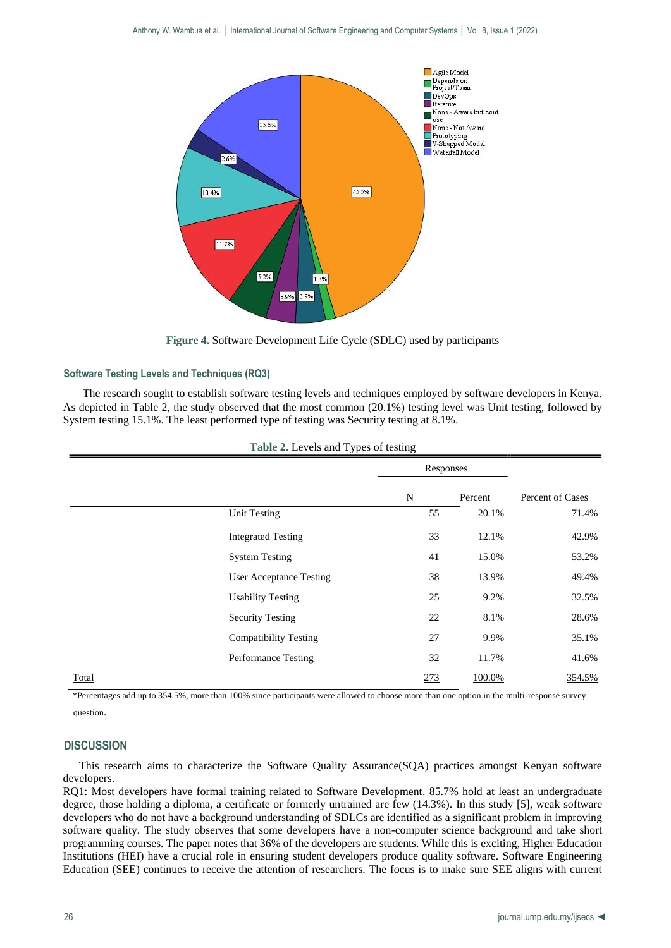

**Figure 4.** Software Development Life Cycle (SDLC) used by participants

## **Software Testing Levels and Techniques (RQ3)**

The research sought to establish software testing levels and techniques employed by software developers in Kenya. As depicted in Table 2, the study observed that the most common (20.1%) testing level was Unit testing, followed by System testing 15.1%. The least performed type of testing was Security testing at 8.1%.

|                                | Responses |         |                  |
|--------------------------------|-----------|---------|------------------|
|                                | N         | Percent | Percent of Cases |
| Unit Testing                   | 55        | 20.1%   | 71.4%            |
| <b>Integrated Testing</b>      | 33        | 12.1%   | 42.9%            |
| <b>System Testing</b>          | 41        | 15.0%   | 53.2%            |
| <b>User Acceptance Testing</b> | 38        | 13.9%   | 49.4%            |
| <b>Usability Testing</b>       | 25        | 9.2%    | 32.5%            |
| <b>Security Testing</b>        | 22        | 8.1%    | 28.6%            |
| <b>Compatibility Testing</b>   | 27        | 9.9%    | 35.1%            |
| Performance Testing            | 32        | 11.7%   | 41.6%            |
| <b>Total</b>                   | 273       | 100.0%  | 354.5%           |

**Table 2.** Levels and Types of testing

\*Percentages add up to 354.5%, more than 100% since participants were allowed to choose more than one option in the multi-response survey question.

## **DISCUSSION**

This research aims to characterize the Software Quality Assurance(SQA) practices amongst Kenyan software developers.

RQ1: Most developers have formal training related to Software Development. 85.7% hold at least an undergraduate degree, those holding a diploma, a certificate or formerly untrained are few (14.3%). In this study [5], weak software developers who do not have a background understanding of SDLCs are identified as a significant problem in improving software quality. The study observes that some developers have a non-computer science background and take short programming courses. The paper notes that 36% of the developers are students. While this is exciting, Higher Education Institutions (HEI) have a crucial role in ensuring student developers produce quality software. Software Engineering Education (SEE) continues to receive the attention of researchers. The focus is to make sure SEE aligns with current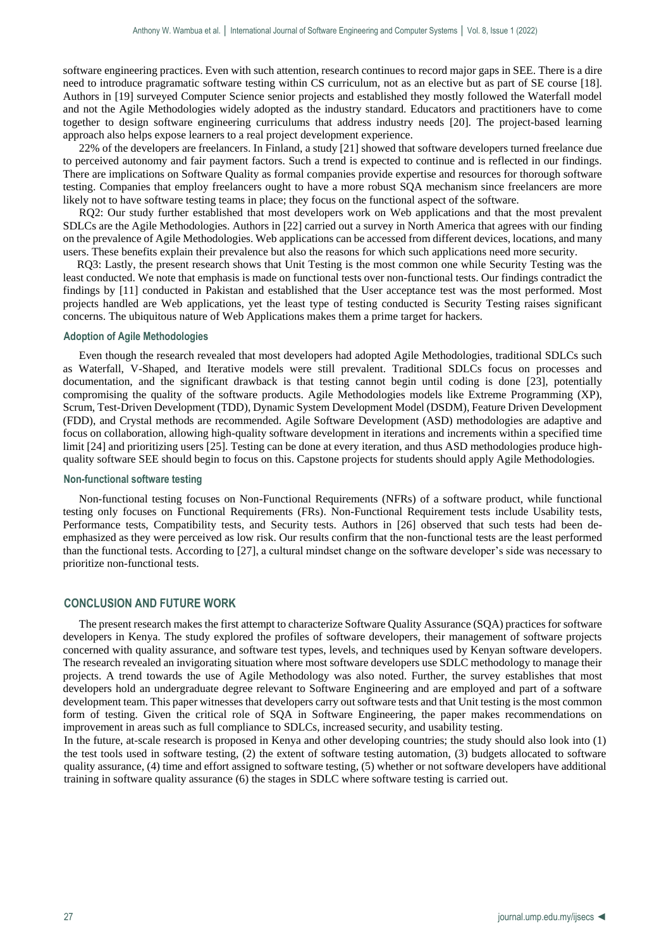software engineering practices. Even with such attention, research continues to record major gaps in SEE. There is a dire need to introduce pragramatic software testing within CS curriculum, not as an elective but as part of SE course [18]. Authors in [19] surveyed Computer Science senior projects and established they mostly followed the Waterfall model and not the Agile Methodologies widely adopted as the industry standard. Educators and practitioners have to come together to design software engineering curriculums that address industry needs [20]. The project-based learning approach also helps expose learners to a real project development experience.

22% of the developers are freelancers. In Finland, a study [21] showed that software developers turned freelance due to perceived autonomy and fair payment factors. Such a trend is expected to continue and is reflected in our findings. There are implications on Software Quality as formal companies provide expertise and resources for thorough software testing. Companies that employ freelancers ought to have a more robust SQA mechanism since freelancers are more likely not to have software testing teams in place; they focus on the functional aspect of the software.

RQ2: Our study further established that most developers work on Web applications and that the most prevalent SDLCs are the Agile Methodologies. Authors in [22] carried out a survey in North America that agrees with our finding on the prevalence of Agile Methodologies. Web applications can be accessed from different devices, locations, and many users. These benefits explain their prevalence but also the reasons for which such applications need more security.

 RQ3: Lastly, the present research shows that Unit Testing is the most common one while Security Testing was the least conducted. We note that emphasis is made on functional tests over non-functional tests. Our findings contradict the findings by [11] conducted in Pakistan and established that the User acceptance test was the most performed. Most projects handled are Web applications, yet the least type of testing conducted is Security Testing raises significant concerns. The ubiquitous nature of Web Applications makes them a prime target for hackers.

#### **Adoption of Agile Methodologies**

Even though the research revealed that most developers had adopted Agile Methodologies, traditional SDLCs such as Waterfall, V-Shaped, and Iterative models were still prevalent. Traditional SDLCs focus on processes and documentation, and the significant drawback is that testing cannot begin until coding is done [23], potentially compromising the quality of the software products. Agile Methodologies models like Extreme Programming (XP), Scrum, Test-Driven Development (TDD), Dynamic System Development Model (DSDM), Feature Driven Development (FDD), and Crystal methods are recommended. Agile Software Development (ASD) methodologies are adaptive and focus on collaboration, allowing high-quality software development in iterations and increments within a specified time limit [24] and prioritizing users [25]. Testing can be done at every iteration, and thus ASD methodologies produce highquality software SEE should begin to focus on this. Capstone projects for students should apply Agile Methodologies.

#### **Non-functional software testing**

Non-functional testing focuses on Non-Functional Requirements (NFRs) of a software product, while functional testing only focuses on Functional Requirements (FRs). Non-Functional Requirement tests include Usability tests, Performance tests, Compatibility tests, and Security tests. Authors in [26] observed that such tests had been deemphasized as they were perceived as low risk. Our results confirm that the non-functional tests are the least performed than the functional tests. According to [27], a cultural mindset change on the software developer's side was necessary to prioritize non-functional tests.

#### **CONCLUSION AND FUTURE WORK**

The present research makes the first attempt to characterize Software Quality Assurance (SQA) practices for software developers in Kenya. The study explored the profiles of software developers, their management of software projects concerned with quality assurance, and software test types, levels, and techniques used by Kenyan software developers. The research revealed an invigorating situation where most software developers use SDLC methodology to manage their projects. A trend towards the use of Agile Methodology was also noted. Further, the survey establishes that most developers hold an undergraduate degree relevant to Software Engineering and are employed and part of a software development team. This paper witnesses that developers carry out software tests and that Unit testing is the most common form of testing. Given the critical role of SQA in Software Engineering, the paper makes recommendations on improvement in areas such as full compliance to SDLCs, increased security, and usability testing.

In the future, at-scale research is proposed in Kenya and other developing countries; the study should also look into (1) the test tools used in software testing, (2) the extent of software testing automation, (3) budgets allocated to software quality assurance, (4) time and effort assigned to software testing, (5) whether or not software developers have additional training in software quality assurance (6) the stages in SDLC where software testing is carried out.